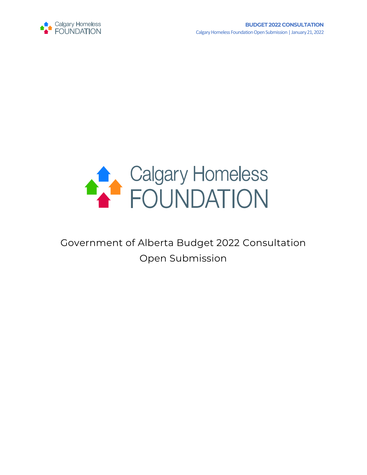



# Government of Alberta Budget 2022 Consultation Open Submission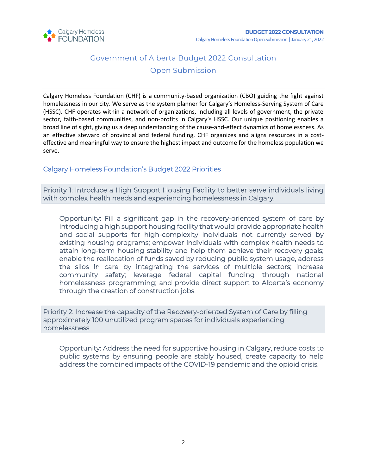

### Government of Alberta Budget 2022 Consultation Open Submission

Calgary Homeless Foundation (CHF) is a community-based organization (CBO) guiding the fight against homelessness in our city. We serve as the system planner for Calgary's Homeless-Serving System of Care (HSSC). CHF operates within a network of organizations, including all levels of government, the private sector, faith-based communities, and non-profits in Calgary's HSSC. Our unique positioning enables a broad line of sight, giving us a deep understanding of the cause-and-effect dynamics of homelessness. As an effective steward of provincial and federal funding, CHF organizes and aligns resources in a costeffective and meaningful way to ensure the highest impact and outcome for the homeless population we serve.

#### Calgary Homeless Foundation's Budget 2022 Priorities

Priority 1: Introduce a High Support Housing Facility to better serve individuals living with complex health needs and experiencing homelessness in Calgary.

Opportunity: Fill a significant gap in the recovery-oriented system of care by introducing a high support housing facility that would provide appropriate health and social supports for high-complexity individuals not currently served by existing housing programs; empower individuals with complex health needs to attain long-term housing stability and help them achieve their recovery goals; enable the reallocation of funds saved by reducing public system usage, address the silos in care by integrating the services of multiple sectors; increase community safety; leverage federal capital funding through national homelessness programming; and provide direct support to Alberta's economy through the creation of construction jobs.

Priority 2: Increase the capacity of the Recovery-oriented System of Care by filling approximately 100 unutilized program spaces for individuals experiencing homelessness

Opportunity: Address the need for supportive housing in Calgary, reduce costs to public systems by ensuring people are stably housed, create capacity to help address the combined impacts of the COVID-19 pandemic and the opioid crisis.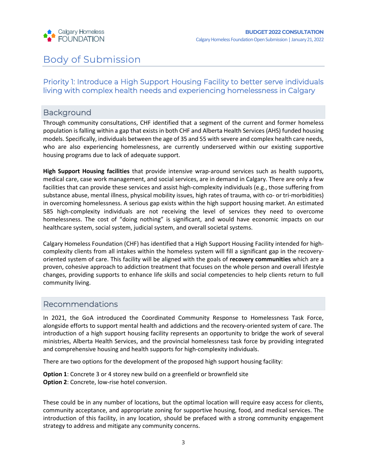

## Body of Submission

#### Priority 1: Introduce a High Support Housing Facility to better serve individuals living with complex health needs and experiencing homelessness in Calgary

#### Background

Through community consultations, CHF identified that a segment of the current and former homeless population is falling within a gap that exists in both CHF and Alberta Health Services (AHS) funded housing models. Specifically, individuals between the age of 35 and 55 with severe and complex health care needs, who are also experiencing homelessness, are currently underserved within our existing supportive housing programs due to lack of adequate support.

**High Support Housing facilities** that provide intensive wrap-around services such as health supports, medical care, case work management, and social services, are in demand in Calgary. There are only a few facilities that can provide these services and assist high-complexity individuals (e.g., those suffering from substance abuse, mental illness, physical mobility issues, high rates of trauma, with co- or tri-morbidities) in overcoming homelessness. A serious gap exists within the high support housing market. An estimated 585 high-complexity individuals are not receiving the level of services they need to overcome homelessness. The cost of "doing nothing" is significant, and would have economic impacts on our healthcare system, social system, judicial system, and overall societal systems.

Calgary Homeless Foundation (CHF) has identified that a High Support Housing Facility intended for highcomplexity clients from all intakes within the homeless system will fill a significant gap in the recoveryoriented system of care. This facility will be aligned with the goals of **recovery communities** which are a proven, cohesive approach to addiction treatment that focuses on the whole person and overall lifestyle changes, providing supports to enhance life skills and social competencies to help clients return to full community living.

#### Recommendations

In 2021, the GoA introduced the Coordinated Community Response to Homelessness Task Force, alongside efforts to support mental health and addictions and the recovery-oriented system of care. The introduction of a high support housing facility represents an opportunity to bridge the work of several ministries, Alberta Health Services, and the provincial homelessness task force by providing integrated and comprehensive housing and health supports for high-complexity individuals.

There are two options for the development of the proposed high support housing facility:

**Option 1**: Concrete 3 or 4 storey new build on a greenfield or brownfield site **Option 2**: Concrete, low-rise hotel conversion.

These could be in any number of locations, but the optimal location will require easy access for clients, community acceptance, and appropriate zoning for supportive housing, food, and medical services. The introduction of this facility, in any location, should be prefaced with a strong community engagement strategy to address and mitigate any community concerns.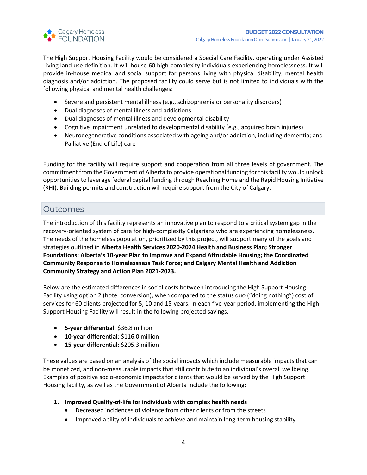

The High Support Housing Facility would be considered a Special Care Facility, operating under Assisted Living land use definition. It will house 60 high-complexity individuals experiencing homelessness. It will provide in-house medical and social support for persons living with physical disability, mental health diagnosis and/or addiction. The proposed facility could serve but is not limited to individuals with the following physical and mental health challenges:

- Severe and persistent mental illness (e.g., schizophrenia or personality disorders)
- Dual diagnoses of mental illness and addictions
- Dual diagnoses of mental illness and developmental disability
- Cognitive impairment unrelated to developmental disability (e.g., acquired brain injuries)
- Neurodegenerative conditions associated with ageing and/or addiction, including dementia; and Palliative (End of Life) care

Funding for the facility will require support and cooperation from all three levels of government. The commitment from the Government of Alberta to provide operational funding for this facility would unlock opportunities to leverage federal capital funding through Reaching Home and the Rapid Housing Initiative (RHI). Building permits and construction will require support from the City of Calgary.

#### **Outcomes**

The introduction of this facility represents an innovative plan to respond to a critical system gap in the recovery-oriented system of care for high-complexity Calgarians who are experiencing homelessness. The needs of the homeless population, prioritized by this project, will support many of the goals and strategies outlined in **Alberta Health Services 2020-2024 Health and Business Plan; Stronger Foundations: Alberta's 10-year Plan to Improve and Expand Affordable Housing; the Coordinated Community Response to Homelessness Task Force; and Calgary Mental Health and Addiction Community Strategy and Action Plan 2021-2023.**

Below are the estimated differences in social costs between introducing the High Support Housing Facility using option 2 (hotel conversion), when compared to the status quo ("doing nothing") cost of services for 60 clients projected for 5, 10 and 15-years. In each five-year period, implementing the High Support Housing Facility will result in the following projected savings.

- **5-year differential**: \$36.8 million
- **10-year differential**: \$116.0 million
- **15-year differential**: \$205.3 million

These values are based on an analysis of the social impacts which include measurable impacts that can be monetized, and non-measurable impacts that still contribute to an individual's overall wellbeing. Examples of positive socio-economic impacts for clients that would be served by the High Support Housing facility, as well as the Government of Alberta include the following:

- **1. Improved Quality-of-life for individuals with complex health needs**
	- Decreased incidences of violence from other clients or from the streets
	- Improved ability of individuals to achieve and maintain long-term housing stability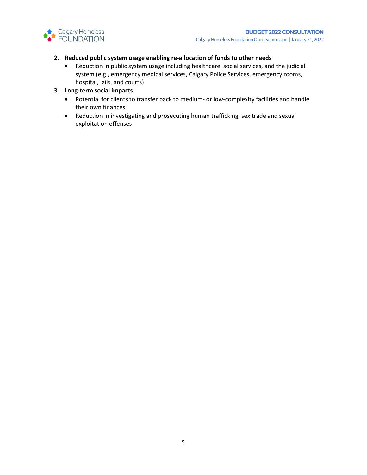

#### **2. Reduced public system usage enabling re-allocation of funds to other needs**

- Reduction in public system usage including healthcare, social services, and the judicial system (e.g., emergency medical services, Calgary Police Services, emergency rooms, hospital, jails, and courts)
- **3. Long-term social impacts** 
	- Potential for clients to transfer back to medium- or low-complexity facilities and handle their own finances
	- Reduction in investigating and prosecuting human trafficking, sex trade and sexual exploitation offenses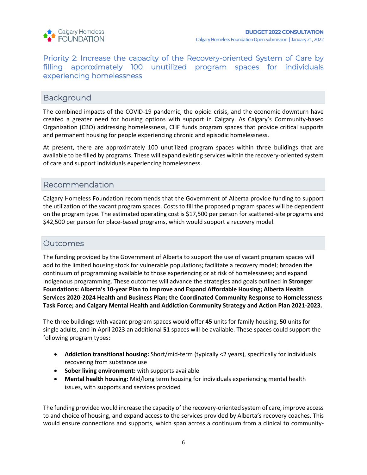

#### Priority 2: Increase the capacity of the Recovery-oriented System of Care by filling approximately 100 unutilized program spaces for individuals experiencing homelessness

#### **Background**

The combined impacts of the COVID-19 pandemic, the opioid crisis, and the economic downturn have created a greater need for housing options with support in Calgary. As Calgary's Community-based Organization (CBO) addressing homelessness, CHF funds program spaces that provide critical supports and permanent housing for people experiencing chronic and episodic homelessness.

At present, there are approximately 100 unutilized program spaces within three buildings that are available to be filled by programs. These will expand existing services within the recovery-oriented system of care and support individuals experiencing homelessness.

#### Recommendation

Calgary Homeless Foundation recommends that the Government of Alberta provide funding to support the utilization of the vacant program spaces. Costs to fill the proposed program spaces will be dependent on the program type. The estimated operating cost is \$17,500 per person for scattered-site programs and \$42,500 per person for place-based programs, which would support a recovery model.

#### **Outcomes**

The funding provided by the Government of Alberta to support the use of vacant program spaces will add to the limited housing stock for vulnerable populations; facilitate a recovery model; broaden the continuum of programming available to those experiencing or at risk of homelessness; and expand Indigenous programming. These outcomes will advance the strategies and goals outlined in **Stronger Foundations: Alberta's 10-year Plan to Improve and Expand Affordable Housing; Alberta Health Services 2020-2024 Health and Business Plan; the Coordinated Community Response to Homelessness Task Force; and Calgary Mental Health and Addiction Community Strategy and Action Plan 2021-2023.** 

The three buildings with vacant program spaces would offer **45** units for family housing, **50** units for single adults, and in April 2023 an additional **51** spaces will be available. These spaces could support the following program types:

- **Addiction transitional housing:** Short/mid-term (typically <2 years), specifically for individuals recovering from substance use
- **Sober living environment:** with supports available
- **Mental health housing:** Mid/long term housing for individuals experiencing mental health issues, with supports and services provided

The funding provided would increase the capacity of the recovery-oriented system of care, improve access to and choice of housing, and expand access to the services provided by Alberta's recovery coaches. This would ensure connections and supports, which span across a continuum from a clinical to community-